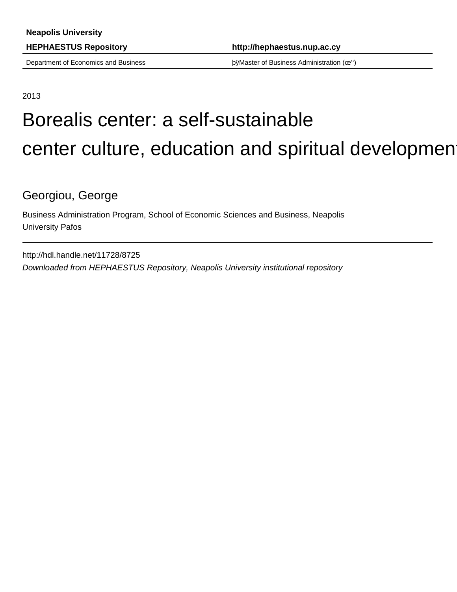**HEPHAESTUS Repository http://hephaestus.nup.ac.cy**

Department of Economics and Business þÿMaster of Business Administration (œ'')

2013

# Borealis center: a self-sustainable center culture, education and spiritual developmen

Georgiou, George

Business Administration Program, School of Economic Sciences and Business, Neapolis University Pafos

http://hdl.handle.net/11728/8725 Downloaded from HEPHAESTUS Repository, Neapolis University institutional repository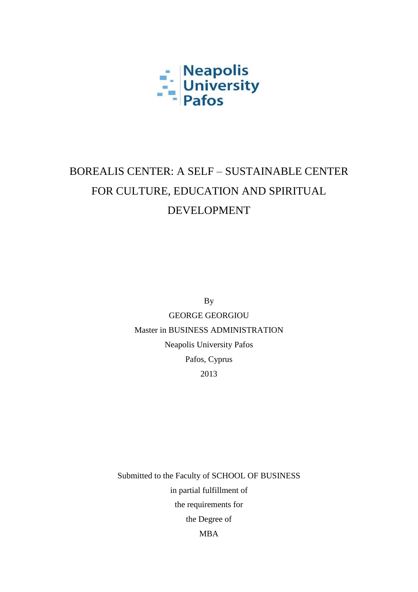

## BOREALIS CENTER: A SELF – SUSTAINABLE CENTER FOR CULTURE, EDUCATION AND SPIRITUAL DEVELOPMENT

By

GEORGE GEORGIOU Master in BUSINESS ADMINISTRATION Neapolis University Pafos Pafos, Cyprus 2013

Submitted to the Faculty of SCHOOL OF BUSINESS in partial fulfillment of the requirements for the Degree of MBA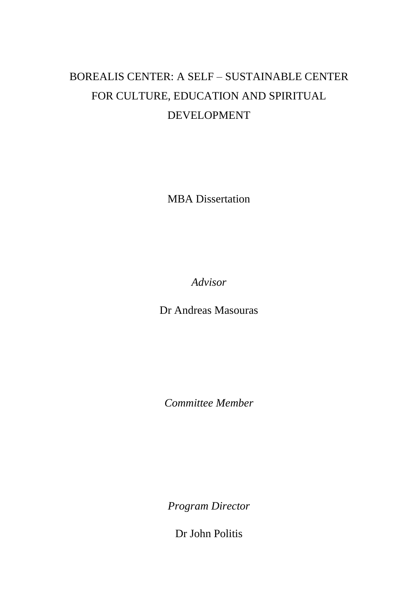### BOREALIS CENTER: A SELF – SUSTAINABLE CENTER FOR CULTURE, EDUCATION AND SPIRITUAL DEVELOPMENT

MBA Dissertation

*Advisor*

Dr Andreas Masouras

*Committee Member*

*Program Director*

Dr John Politis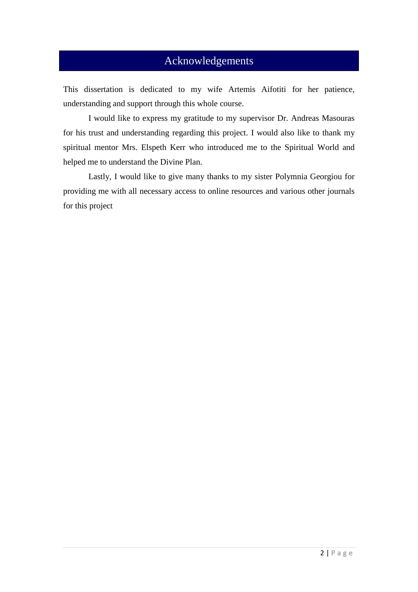#### Acknowledgements

This dissertation is dedicated to my wife Artemis Aifotiti for her patience, understanding and support through this whole course.

I would like to express my gratitude to my supervisor Dr. Andreas Masouras for his trust and understanding regarding this project. I would also like to thank my spiritual mentor Mrs. Elspeth Kerr who introduced me to the Spiritual World and helped me to understand the Divine Plan.

Lastly, I would like to give many thanks to my sister Polymnia Georgiou for providing me with all necessary access to online resources and various other journals for this project